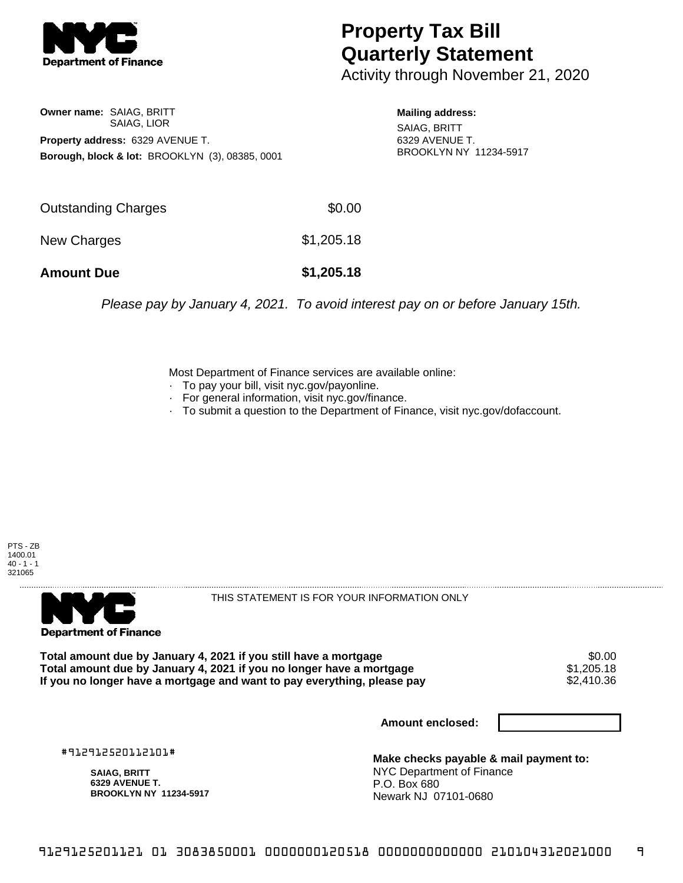

## **Property Tax Bill Quarterly Statement**

Activity through November 21, 2020

**Owner name:** SAIAG, BRITT SAIAG, LIOR **Property address:** 6329 AVENUE T. **Borough, block & lot:** BROOKLYN (3), 08385, 0001

**Mailing address:** SAIAG, BRITT 6329 AVENUE T. BROOKLYN NY 11234-5917

| <b>Amount Due</b>   | \$1,205.18 |
|---------------------|------------|
| New Charges         | \$1,205.18 |
| Outstanding Charges | \$0.00     |

Please pay by January 4, 2021. To avoid interest pay on or before January 15th.

Most Department of Finance services are available online:

- · To pay your bill, visit nyc.gov/payonline.
- For general information, visit nyc.gov/finance.
- · To submit a question to the Department of Finance, visit nyc.gov/dofaccount.





THIS STATEMENT IS FOR YOUR INFORMATION ONLY

Total amount due by January 4, 2021 if you still have a mortgage  $$0.00$ <br>Total amount due by January 4, 2021 if you no longer have a mortgage  $$1,205.18$ **Total amount due by January 4, 2021 if you no longer have a mortgage**  $$1,205.18$ **<br>If you no longer have a mortgage and want to pay everything, please pay**  $$2,410.36$ If you no longer have a mortgage and want to pay everything, please pay

**Amount enclosed:**

#912912520112101#

**SAIAG, BRITT 6329 AVENUE T. BROOKLYN NY 11234-5917**

**Make checks payable & mail payment to:** NYC Department of Finance P.O. Box 680 Newark NJ 07101-0680